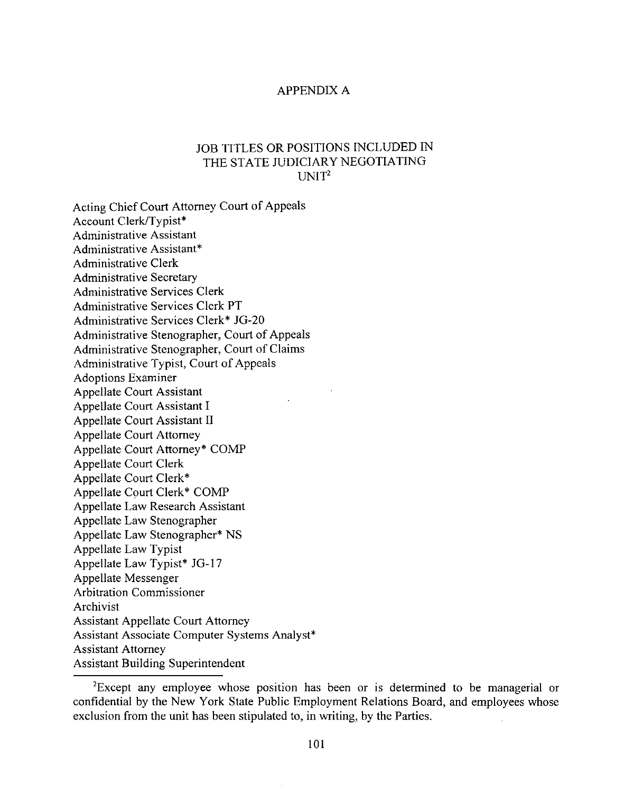## APPENDIX A

## JOB TITLES OR POSITIONS INCLUDED IN THE STATE JUDICIARY NEGOTIATING  $I$  INIT<sup>2</sup>

Acting Chief Court Attorney Court of Appeals Account Clerk/Typist\* Administrative Assistant Administrative Assistant\* Administrative Clerk Administrative Secretary Administrative Services Clerk Administrative Services Clerk **PT** Administrative Services Clerk\* JG-20 Administrative Stenographer, Court of Appeals Administrative Stenographer, Court of Claims Administrative Typist, Court of Appeals Adoptions Examiner Appellate Court Assistant Appellate Court Assistant I Appellate Court Assistant II Appellate Court Attorney Appellate Court Attorney\* COMP Appellate Court Clerk Appellate Court Clerk\* Appellate Court Clerk\* COMP Appellate Law Research Assistant Appellate Law Stenographer Appellate Law Stenographer\* NS Appellate Law Typist Appellate Law Typist\* JG-17 Appellate Messenger Arbitration Commissioner Archivist Assistant Appellate Court Attorney Assistant Associate Computer Systems Analyst\* Assistant Attorney Assistant Building Superintendent

<sup>&</sup>lt;sup>2</sup>Except any employee whose position has been or is determined to be managerial or confidential by the New York State Public Employment Relations Board, and employees whose exclusion from the unit has been stipulated to, in writing, by the Parties.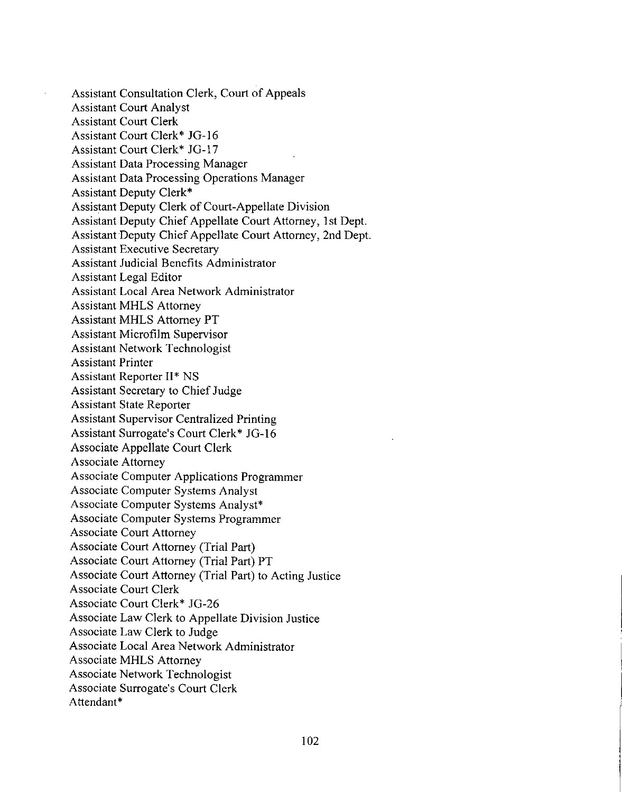Assistant Consultation Clerk, Court of Appeals Assistant Court Analyst Assistant Court Clerk Assistant Court Clerk" JG-16 Assistant Court Clerk" JG-17 Assistant Data Processing Manager Assistant Data Processing Operations Manager Assistant Deputy Clerk" Assistant Deputy Clerk of Court-Appellate Division Assistant Deputy Chief Appellate Court Attorney, 1st Dept. Assistant Deputy Chief Appellate Court Attorney, 2nd Dept. Assistant Executive Secretary Assistant Judicial Benefits Administrator Assistant Legal Editor Assistant Local Area Network Administrator Assistant MHLS Attorney Assistant MHLS Attorney PT Assistant Microfilm Supervisor Assistant Network Technologist Assistant Printer Assistant Reporter II\* NS Assistant Secretary to Chief Judge Assistant State Reporter Assistant Supervisor Centralized Printing Assistant Surrogate's Court Clerk" JG-16 Associate Appellate Court Clerk Associate Attorney Associate Computer Applications Programmer Associate Computer Systems Analyst Associate Computer Systems Analyst\* Associate Computer Systems Programmer Associate Court Attorney Associate Court Attorney (Trial Part) Associate Court Attorney (Trial Part) PT Associate Court Attorney (Trial Part) to Acting Justice Associate Court Clerk Associate Court Clerk" JG-26 Associate Law Clerk to Appellate Division Justice Associate Law Clerk to Judge Associate Local Area Network Administrator Associate MHLS Attorney Associate Network Technologist Associate Surrogate's Court Clerk Attendant\*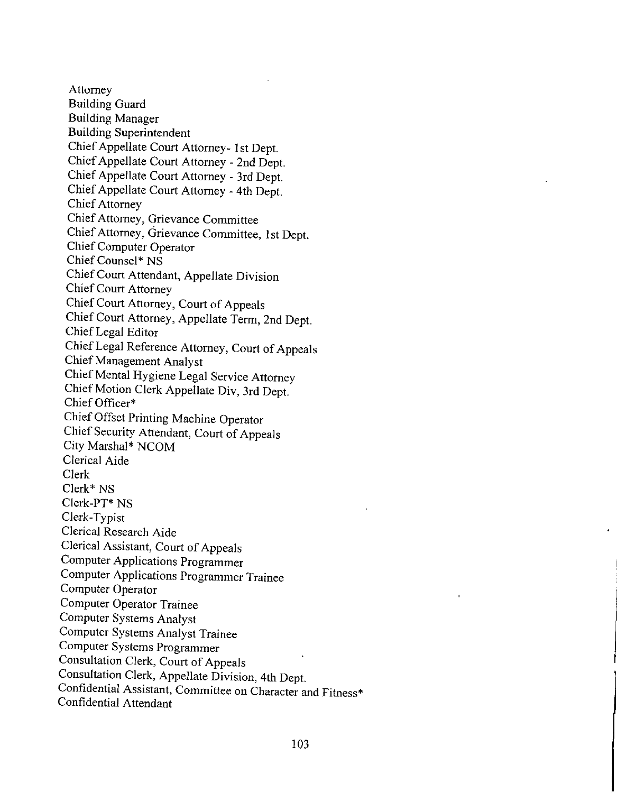Attorney Building Guard Building Manager Building Superintendent Chief Appellate Court Attorney- 1st Dept. Chief Appellate Court Attorney - 2nd Dept. Chief Appellate Court Attorney - 3rd Dept. Chief Appellate Court Attorney - 4th Dept. Chief Attorney Chief Attorney, Grievance Committee Chief Attorney, Grievance Committee, 1st Dept. Chief Computer Operator Chief Counsel\* NS Chief Court Attendant, Appellate Division Chief Court Attorney Chief Court Attorney, Court of Appeals Chief Court Attorney, Appellate Term, 2nd Dept. Chief Legal Editor Chief Legal Reference Attorney, Court of Appeals Chief Management Analyst Chief Mental Hygiene Legal Service Attorney Chief Motion Clerk Appellate Div, 3rd Dept. Chief Officer\* Chief Offset Printing Machine Operator Chief Security Attendant, Court of Appeals City Marshal\* NCOM Clerical Aide Clerk Clerk\* NS Clerk-PT\* NS Clerk- Typist Clerical Research Aide Clerical Assistant, Court of Appeals Computer Applications Programmer Computer Applications Programmer Trainee Computer Operator Computer Operator Trainee Computer Systems Analyst Computer Systems Analyst Trainee Computer Systems Programmer Consultation Clerk, Court of Appeals Consultation Clerk, Appellate Division, 4th Dept. Confidential Assistant, Committee on Character and Fitness\* Confidential Attendant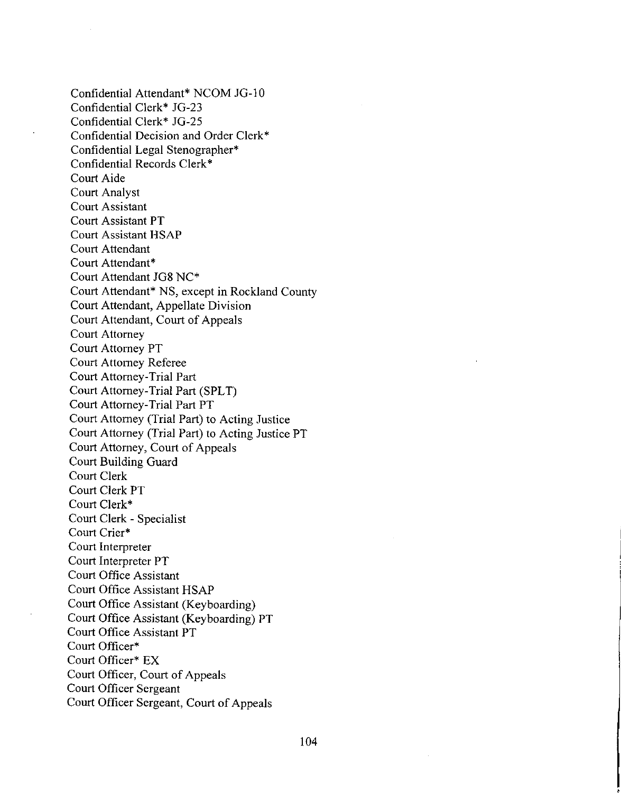Confidential Attendant\* NCOM JG-IO Confidential Clerk\* JG-23 Confidential Clerk\* JG-25 Confidential Decision and Order Clerk\* Confidential Legal Stenographer\* Confidential Records Clerk\* Court Aide Court Analyst Court Assistant Court Assistant **PT** Court Assistant HSAP Court Attendant Court Attendant\* Court Attendant JG8 NC\* Court Attendant\* NS, except in Rockland County Court Attendant, Appellate Division Court Attendant, Court of Appeals Court Attorney Court Attorney PT Court Attorney Referee Court Attorney-Trial Part Court Attorney-Trial Part (SPLT) Court Attorney-Trial Part PT Court Attorney (Trial Part) to Acting Justice Court Attorney (Trial Part) to Acting Justice PT Court Attorney, Court of Appeals Court Building Guard Court Clerk Court Clerk PT Court Clerk\* Court Clerk - Specialist Court Crier\* Court Interpreter Court Interpreter **PT** Court Office Assistant Court Office Assistant HSAP Court Office Assistant (Keyboarding) Court Office Assistant (Keyboarding) PT Court Office Assistant PT Court Officer\* Court Officer\* EX Court Officer, Court of Appeals Court Officer Sergeant Court Officer Sergeant, Court of Appeals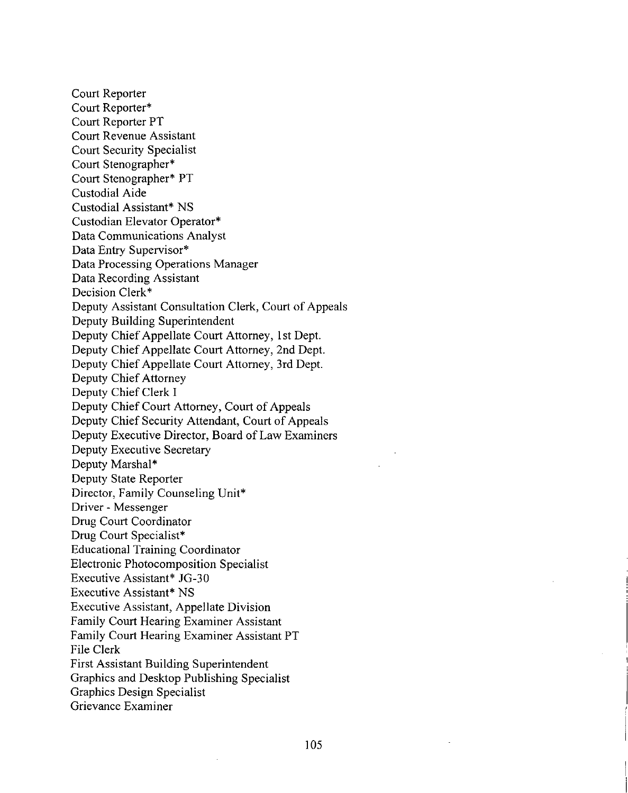Court Reporter Court Reporter\* Court Reporter PT Court Revenue Assistant Court Security Specialist Court Stenographer\* Court Stenographer\* PT Custodial Aide Custodial Assistant\* NS Custodian Elevator Operator\* Data Communications Analyst Data Entry Supervisor\* Data Processing Operations Manager Data Recording Assistant Decision Clerk\* Deputy Assistant Consultation Clerk, Court of Appeals Deputy Building Superintendent Deputy Chief Appellate Court Attorney, Ist Dept. Deputy Chief Appellate Court Attorney, 2nd Dept. Deputy Chief Appellate Court Attorney, 3rd Dept. Deputy Chief Attorney Deputy Chief Clerk I Deputy Chief Court Attorney, Court of Appeals Deputy Chief Security Attendant, Court of Appeals Deputy Executive Director, Board of Law Examiners Deputy Executive Secretary Deputy Marshal\* Deputy State Reporter Director, Family Counseling Unit\* Driver - Messenger Drug Court Coordinator Drug Court Specialist\* Educational Training Coordinator Electronic Photocomposition Specialist Executive Assistant\* JG-30 Executive Assistant\* NS Executive Assistant, Appellate Division Family Court Hearing Examiner Assistant Family Court Hearing Examiner Assistant PT File Clerk First Assistant Building Superintendent Graphics and Desktop Publishing Specialist Graphics Design Specialist Grievance Examiner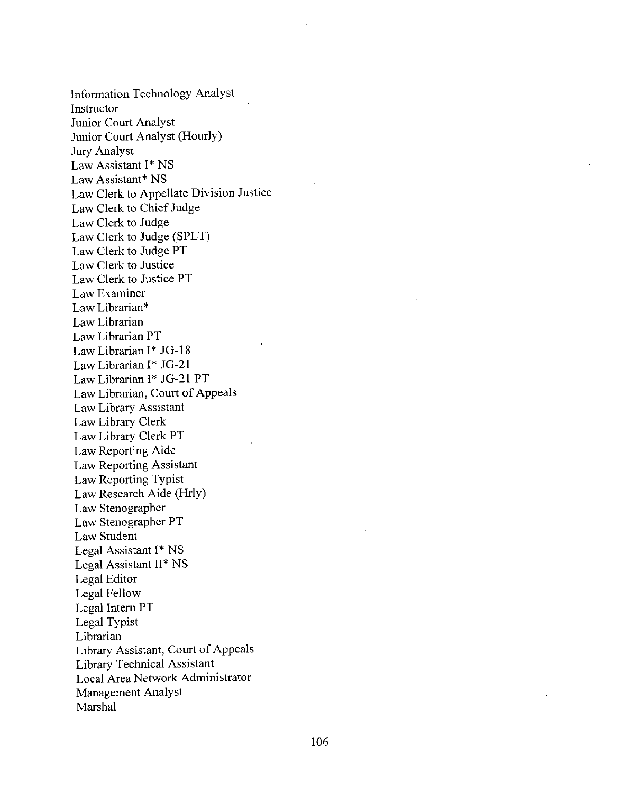Information Technology Analyst Instructor Junior Court Analyst Junior Court Analyst (Hourly) Jury Analyst Law Assistant 1\* NS Law Assistant\* NS Law Clerk to Appellate Division Justice Law Clerk to Chief Judge Law Clerk to Judge Law Clerk to Judge (SPLT) Law Clerk to Judge PT Law Clerk to Justice Law Clerk to Justice PT Law Examiner Law Librarian\* Law Librarian Law Librarian PT Law Librarian 1\* JG-18 Law Librarian 1\* JG-21 Law Librarian 1\* JG-21 PT Law Librarian, Court of Appeals Law Library Assistant Law Library Clerk Law Library Clerk PT Law Reporting Aide Law Reporting Assistant Law Reporting Typist Law Research Aide (Hrly) Law Stenographer Law Stenographer PT Law Student Legal Assistant 1\* NS Legal Assistant II\* NS Legal Editor Legal Fellow Legal Intern PT Legal Typist Librarian Library Assistant, Court of Appeals Library Technical Assistant Local Area Network Administrator Management Analyst Marshal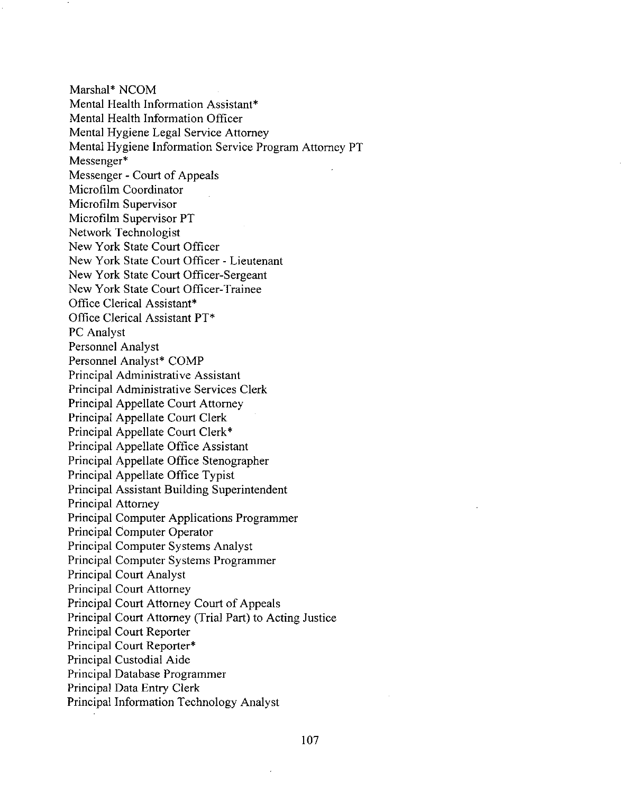Marshal' NCOM Mental Health Information Assistant\* Mental Health Information Officer Mental Hygiene Legal Service Attorney Mental Hygiene Information Service Program Attorney PT Messenger<sup>\*</sup> Messenger - Court of Appeals Microfilm Coordinator Microfilm Supervisor Microfilm Supervisor PT Network Technologist New York State Court Officer New York State Court Officer - Lieutenant New York State Court Officer-Sergeant New York State Court Officer-Trainee Office Clerical Assistant\* Office Clerical Assistant PT\* PC Analyst Personnel Analyst Personnel Analyst\* COMP Principal Administrative Assistant Principal Administrative Services Clerk Principal Appellate Court Attorney Principal Appellate Court Clerk Principal Appellate Court Clerk' Principal Appellate Office Assistant Principal Appellate Office Stenographer Principal Appellate Office Typist Principal Assistant Building Superintendent Principal Attorney Principal Computer Applications Programmer Principal Computer Operator Principal Computer Systems Analyst Principal Computer Systems Programmer Principal Court Analyst Principal Court Attorney Principal Court Attorney Court of Appeals Principal Court Attorney (Trial Part) to Acting Justice Principal Court Reporter Principal Court Reporter\* Principal Custodial Aide Principal Database Programmer Principal Data Entry Clerk Principal Information Technology Analyst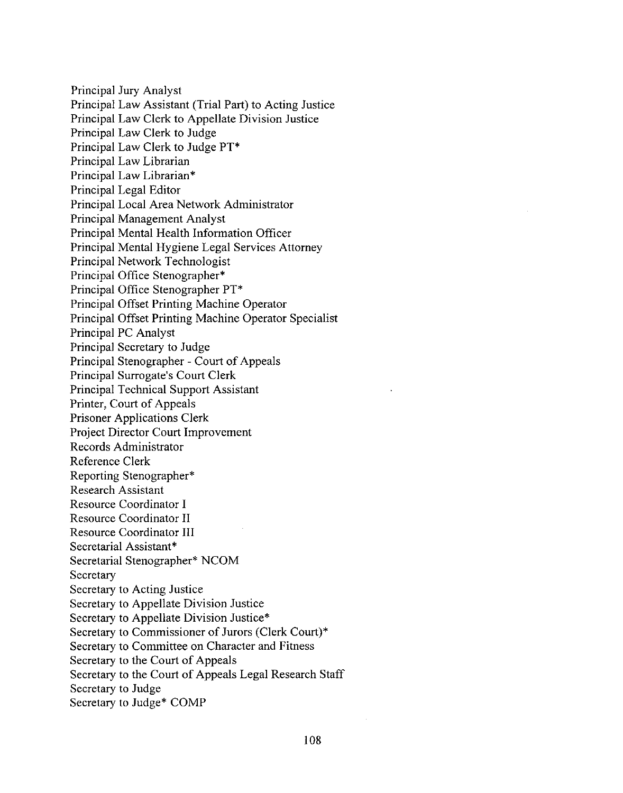Principal Jury Analyst Principal Law Assistant (Trial Part) to Acting Justice Principal Law Clerk to Appellate Division Justice Principal Law Clerk to Judge Principal Law Clerk to Judge PT\* Principal Law Librarian Principal Law Librarian\* Principal Legal Editor Principal Local Area Network Administrator Principal Management Analyst Principal Mental Health Information Officer Principal Mental Hygiene Legal Services Attorney Principal Network Technologist Principal Office Stenographer\* Principal Office Stenographer PT\* Principal Offset Printing Machine Operator Principal Offset Printing Machine Operator Specialist Principal PC Analyst Principal Secretary to Judge Principal Stenographer - Court of Appeals Principal Surrogate's Court Clerk Principal Technical Support Assistant Printer, Court of Appeals Prisoner Applications Clerk Project Director Court Improvement Records Administrator Reference Clerk Reporting Stenographer\* Research Assistant Resource Coordinator I Resource Coordinator II Resource Coordinator **III** Secretarial Assistant\* Secretarial Stenographer\* NCOM Secretary Secretary to Acting Justice Secretary to Appellate Division Justice Secretary to Appellate Division Justice\* Secretary to Commissioner of Jurors (Clerk Court)\* Secretary to Committee on Character and Fitness Secretary to the Court of Appeals Secretary to the Court of Appeals Legal Research Staff Secretary to Judge Secretary to Judge\* COMP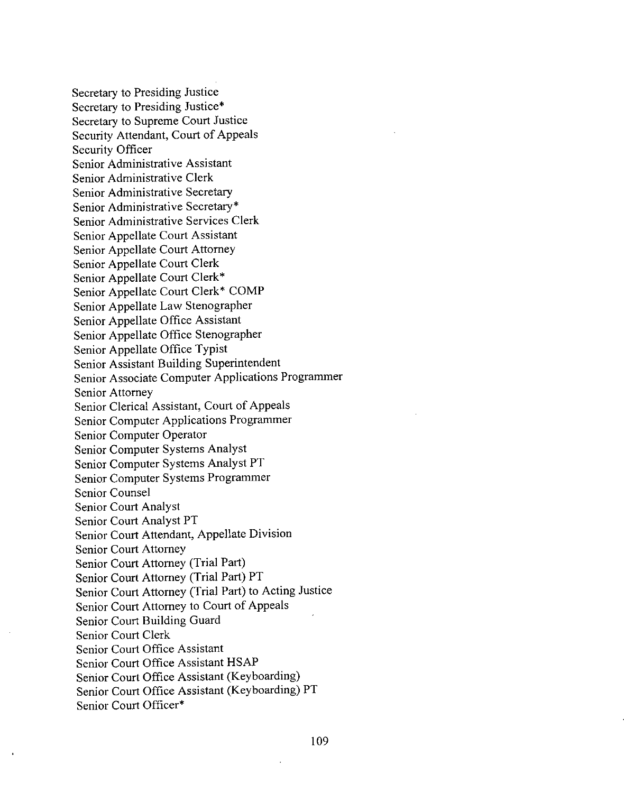Secretary to Presiding Justice Secretary to Presiding Justice\* Secretary to Supreme Court Justice Security Attendant, Court of Appeals Security Officer Senior Administrative Assistant Senior Administrative Clerk Senior Administrative Secretary Senior Administrative Secretary\* Senior Administrative Services Clerk Senior Appellate Court Assistant Senior Appellate Court Attorney Senior Appellate Court Clerk Senior Appellate Court Clerk\* Senior Appellate Court Clerk\* COMP Senior Appellate Law Stenographer Senior Appellate Office Assistant Senior Appellate Office Stenographer Senior Appellate Office Typist Senior Assistant Building Superintendent Senior Associate Computer Applications Programmer Senior Attorney Senior Clerical Assistant, Court of Appeals Senior Computer Applications Programmer Senior Computer Operator Senior Computer Systems Analyst Senior Computer Systems Analyst **PT** Senior Computer Systems Programmer Senior Counsel Senior Court Analyst Senior Court Analyst **PT** Senior Court Attendant, Appellate Division Senior Court Attorney Senior Court Attorney (Trial Part) Senior Court Attorney (Trial Part) **PT** Senior Court Attorney (Trial Part) to Acting Justice Senior Court Attorney to Court of Appeals Senior Court Building Guard Senior Court Clerk Senior Court Office Assistant Senior Court Office Assistant HSAP Senior Court Office Assistant (Keyboarding) Senior Court Office Assistant (Keyboarding) **PT** Senior Court Officer\*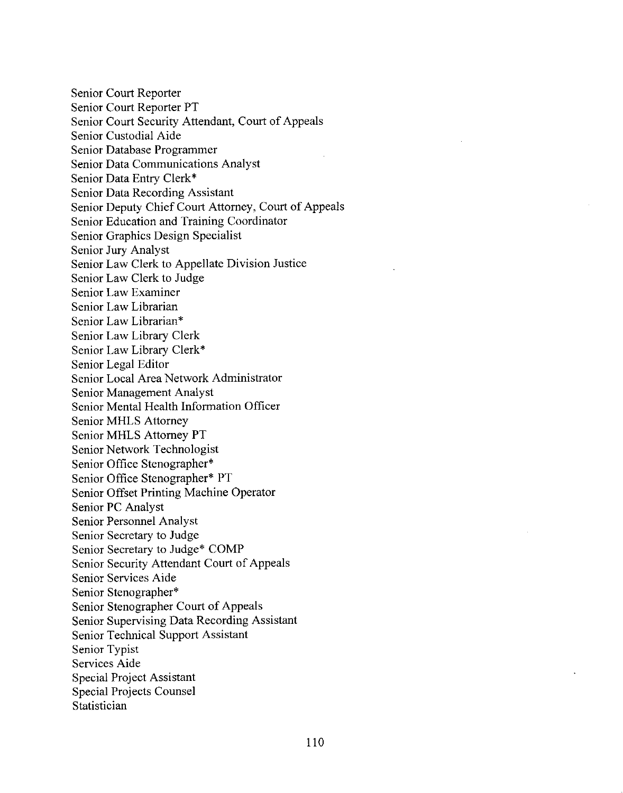Senior Court Reporter Senior Court Reporter PT Senior Court Security Attendant, Court of Appeals Senior Custodial Aide Senior Database Programmer Senior Data Communications Analyst Senior Data Entry Clerk\* Senior Data Recording Assistant Senior Deputy Chief Court Attorney, Court of Appeals Senior Education and Training Coordinator Senior Graphics Design Specialist Senior Jury Analyst Senior Law Clerk to Appellate Division Justice Senior Law Clerk to Judge Senior Law Examiner Senior Law Librarian Senior Law Librarian\* Senior Law Library Clerk Senior Law Library Clerk \* Senior Legal Editor Senior Local Area Network Administrator Senior Management Analyst Senior Mental Health Information Officer Senior MHLS Attorney Senior MHLS Attorney PT Senior Network Technologist Senior Office Stenographer\* Senior Office Stenographer\* PT Senior Offset Printing Machine Operator Senior PC Analyst Senior Personnel Analyst Senior Secretary to Judge Senior Secretary to Judge\* COMP Senior Security Attendant Court of Appeals Senior Services Aide Senior Stenographer\* Senior Stenographer Court of Appeals Senior Supervising Data Recording Assistant Senior Technical Support Assistant Senior Typist Services Aide Special Project Assistant Special Projects Counsel Statistician